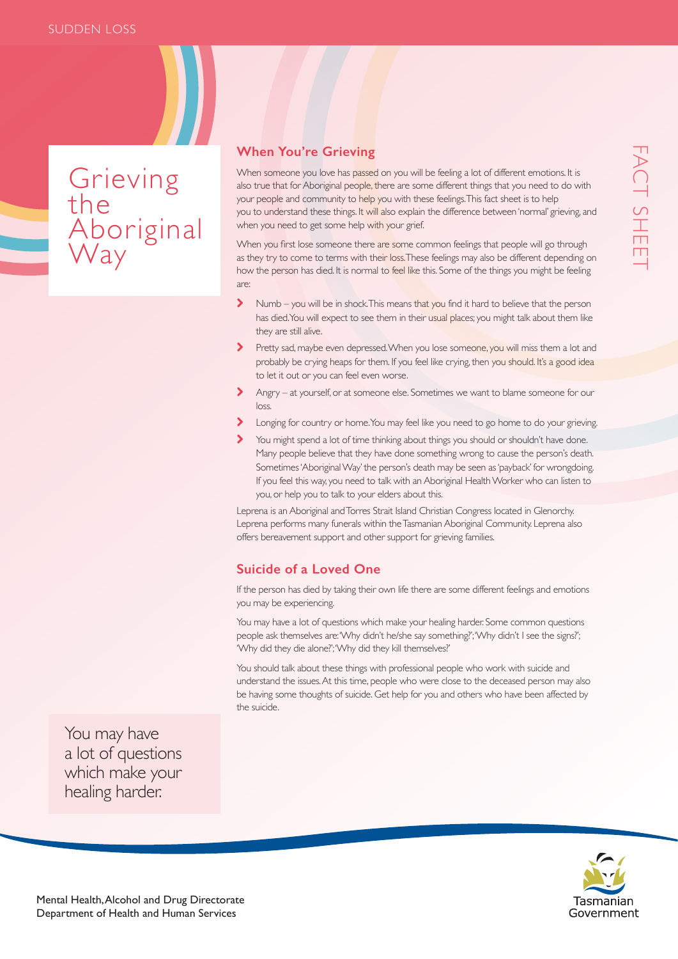Grieving the Aboriginal Way

## **When You're Grieving**

When someone you love has passed on you will be feeling a lot of different emotions. It is also true that for Aboriginal people, there are some different things that you need to do with your people and community to help you with these feelings. This fact sheet is to help you to understand these things. It will also explain the difference between 'normal' grieving, and when you need to get some help with your grief.

When you first lose someone there are some common feelings that people will go through as they try to come to terms with their loss. These feelings may also be different depending on how the person has died. It is normal to feel like this. Some of the things you might be feeling are:

- Numb you will be in shock. This means that you find it hard to believe that the person has died. You will expect to see them in their usual places; you might talk about them like they are still alive.
- Pretty sad, maybe even depressed. When you lose someone, you will miss them a lot and probably be crying heaps for them. If you feel like crying, then you should. It's a good idea to let it out or you can feel even worse.
- Angry at yourself, or at someone else. Sometimes we want to blame someone for our loss.
- Longing for country or home. You may feel like you need to go home to do your grieving.
- You might spend a lot of time thinking about things you should or shouldn't have done. Many people believe that they have done something wrong to cause the person's death. Sometimes 'Aboriginal Way' the person's death may be seen as 'payback' for wrongdoing. If you feel this way, you need to talk with an Aboriginal Health Worker who can listen to you, or help you to talk to your elders about this.

Leprena is an Aboriginal and Torres Strait Island Christian Congress located in Glenorchy. Leprena performs many funerals within the Tasmanian Aboriginal Community. Leprena also offers bereavement support and other support for grieving families.

## **Suicide of a Loved One**

If the person has died by taking their own life there are some different feelings and emotions you may be experiencing.

You may have a lot of questions which make your healing harder. Some common questions people ask themselves are: 'Why didn't he/she say something?'; 'Why didn't I see the signs?'; 'Why did they die alone?'; 'Why did they kill themselves?'

You should talk about these things with professional people who work with suicide and understand the issues. At this time, people who were close to the deceased person may also be having some thoughts of suicide. Get help for you and others who have been affected by the suicide.

You may have a lot of questions which make your healing harder.